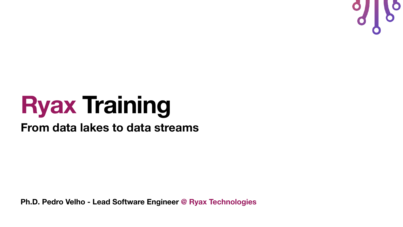**Ph.D. Pedro Velho - Lead Software Engineer @ Ryax Technologies**



## **Ryax Training From data lakes to data streams**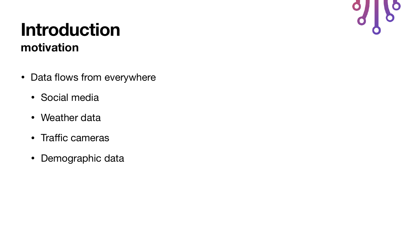- Data flows from everywhere
	- Social media
	- Weather data
	- Traffic cameras
	- Demographic data

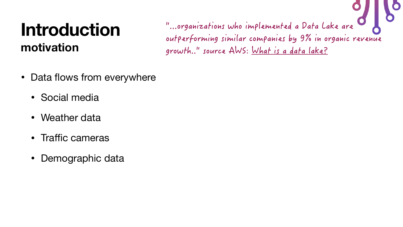- Data flows from everywhere
	- Social media
	- Weather data
	- Traffic cameras
	- Demographic data

"...organizations who implemented a Data Lake are outperforming similar companies by 9% in organic revenue growth.." source AWS: [What is a data lake?](https://aws.amazon.com/big-data/datalakes-and-analytics/what-is-a-data-lake/)

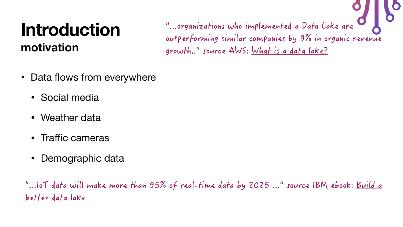- Data flows from everywhere
	- Social media
	- Weather data
	- Traffic cameras
	- Demographic data

"...organizations who implemented a Data Lake are outperforming similar companies by 9% in organic revenue growth.." source AWS: [What is a data lake?](https://aws.amazon.com/big-data/datalakes-and-analytics/what-is-a-data-lake/)







"...IoT data will make more than 95% of real-time data by 2025 ..." source IBM ebook: [Build a](https://www.ibm.com/in-en/analytics/data-lake)  [better data lake](https://www.ibm.com/in-en/analytics/data-lake)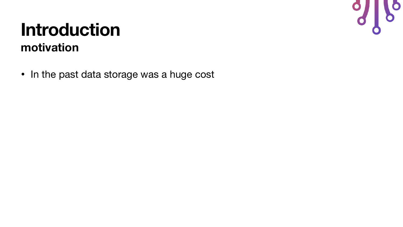• In the past data storage was a huge cost

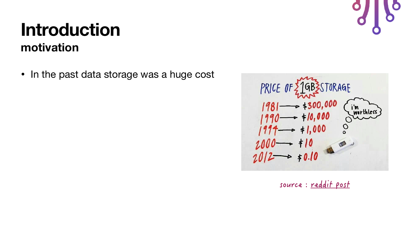• In the past data storage was a huge cost



source : [reddit post](https://www.reddit.com/r/Futurology/comments/1q96r9/price_of_1gb_is_storage_19812012/)

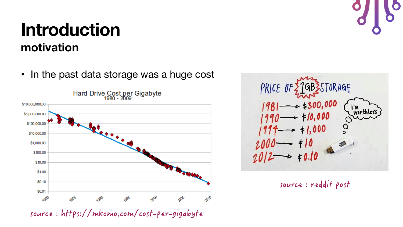• In the past data storage was a huge cost



source :<https://mkomo.com/cost-per-gigabyte>





source : [reddit post](https://www.reddit.com/r/Futurology/comments/1q96r9/price_of_1gb_is_storage_19812012/)





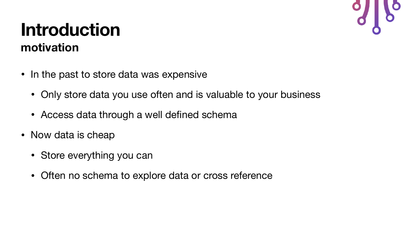- In the past to store data was expensive
	- Only store data you use often and is valuable to your business
	- Access data through a well defined schema
- Now data is cheap
	- Store everything you can
	- Often no schema to explore data or cross reference

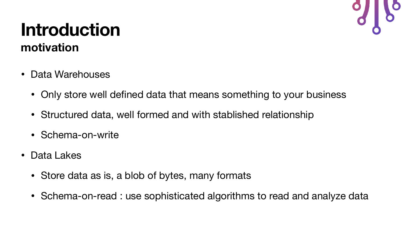- Data Warehouses
	-
	- Structured data, well formed and with stablished relationship
	- Schema-on-write
- Data Lakes
	- Store data as is, a blob of bytes, many formats
	-



# • Only store well defined data that means something to your business

• Schema-on-read : use sophisticated algorithms to read and analyze data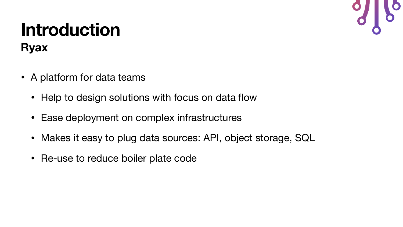### **Introduction Ryax**

- A platform for data teams
	- Help to design solutions with focus on data flow
	- Ease deployment on complex infrastructures
	- Makes it easy to plug data sources: API, object storage, SQL
	- Re-use to reduce boiler plate code

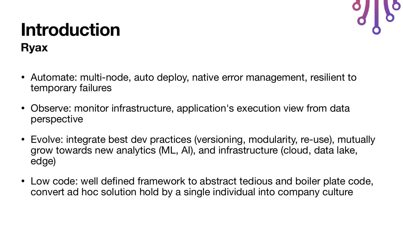### **Introduction Ryax**

- Automate: multi-node, auto deploy, native error management, resilient to temporary failures
- Observe: monitor infrastructure, application's execution view from data perspective
- Evolve: integrate best dev practices (versioning, modularity, re-use), mutually grow towards new analytics (ML, AI), and infrastructure (cloud, data lake, edge)
- Low code: well defined framework to abstract tedious and boiler plate code, convert ad hoc solution hold by a single individual into company culture

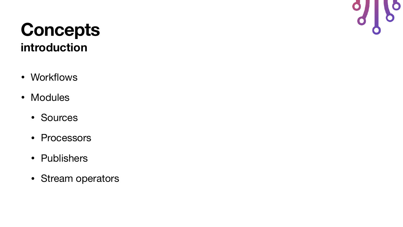### **Concepts introduction**

- Workflows
- Modules
	- Sources
	- Processors
	- Publishers
	- Stream operators

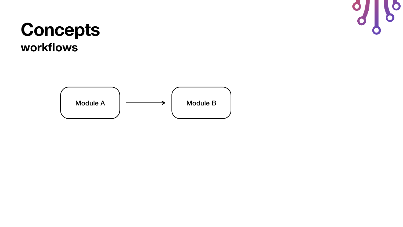Module A  $\left| \begin{array}{ccc} \sim & \longrightarrow & \end{array} \right|$  Module B

 $\bullet$ 

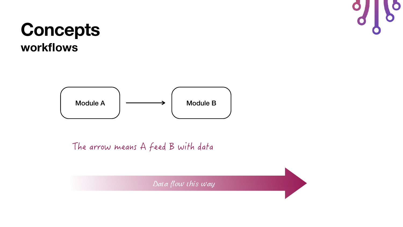Module A  $\left| \begin{array}{ccc} \text{Module B} \end{array} \right|$ 

The arrow means A feed B with data

Data flow this way



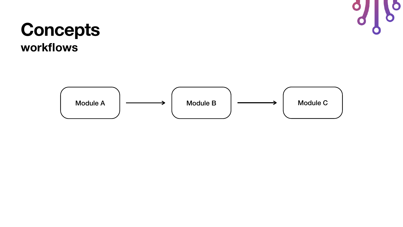

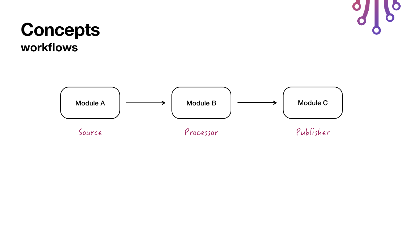

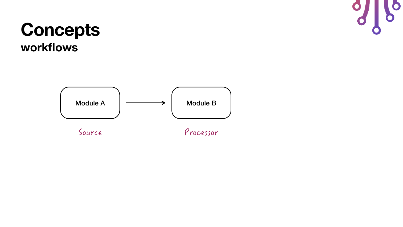

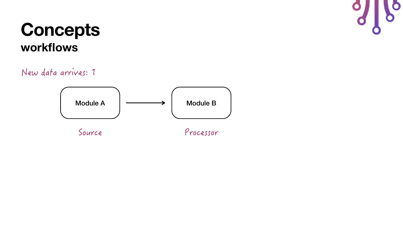Source Processor

New data arrives: 1

Module A  $\left| \begin{array}{ccc} \sim & \longrightarrow & \end{array} \right|$  Module B

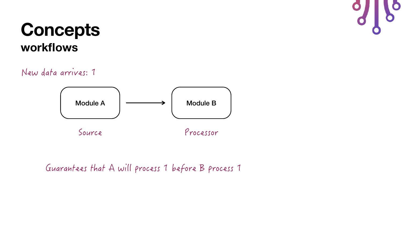

New data arrives: 1

Guarantees that A will process 1 before B process 1

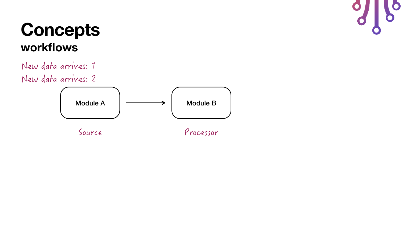Source Processor

New data arrives: 1 New data arrives: 2

Module A  $\left| \begin{array}{ccc} \text{Module B} \end{array} \right|$ 

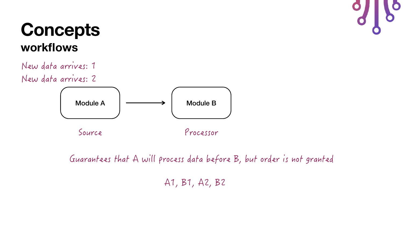Source Processor

New data arrives: 1 New data arrives: 2

Module A  $\vert \longrightarrow \vert$  Module B

Guarantees that A will process data before B, but order is not granted

A1, B1, A2, B2

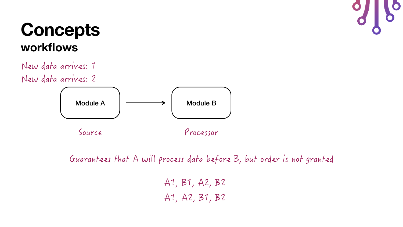Source Processor



New data arrives: 1 New data arrives: 2

Module A  $\vert \longrightarrow \vert$  Module B

Guarantees that A will process data before B, but order is not granted

A1, A2, B1, B2

A1, B1, A2, B2

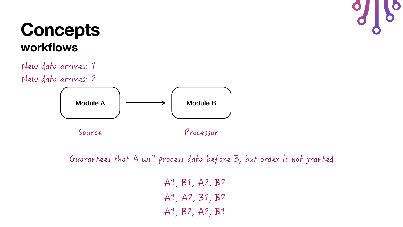

New data arrives: 1 New data arrives: 2

Guarantees that A will process data before B, but order is not granted

A1, A2, B1, B2

- A1, B1, A2, B2
- 
- A1, B2, A2, B1

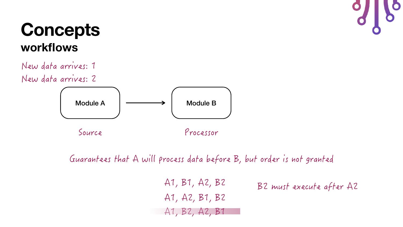Source Processor

New data arrives: 1 New data arrives: 2

Module A  $\vert \longrightarrow \vert$  Module B

Guarantees that A will process data before B, but order is not granted

B2 must execute after A2 A1, A2, B1, B2 A1, B2, A2, B1 A1, B1, A2, B2

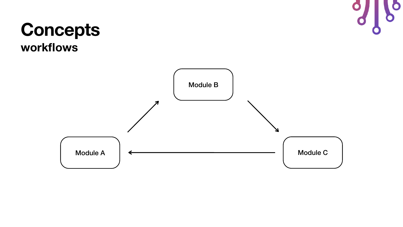



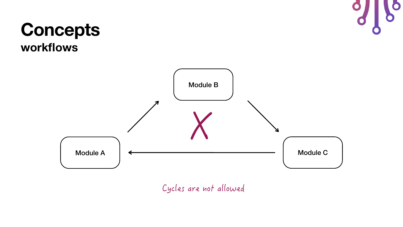





Cycles are not allowed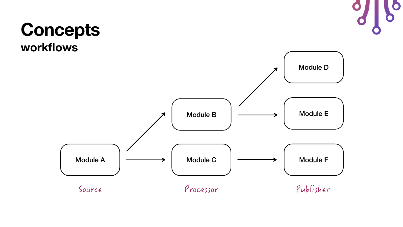

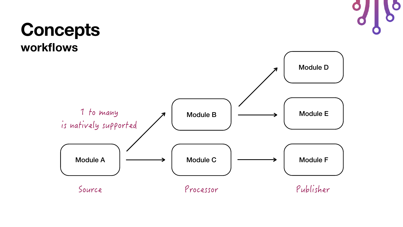

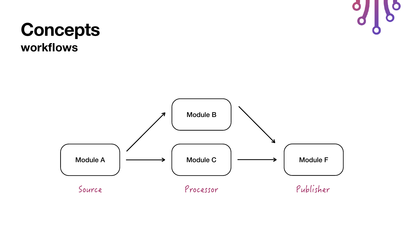

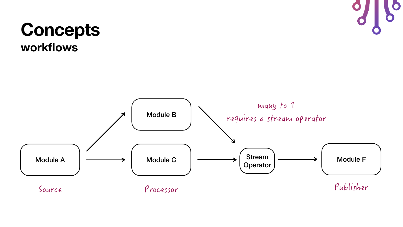



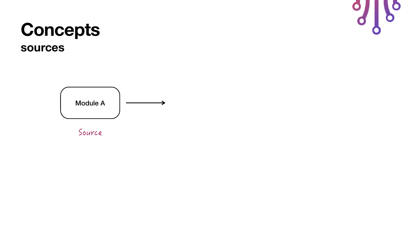#### **Concepts sources**

Module A

Source

 $\bullet$ 

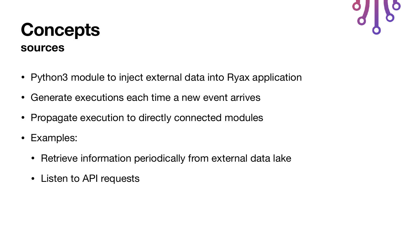### **Concepts sources**

- Python3 module to inject external data into Ryax application
- Generate executions each time a new event arrives
- Propagate execution to directly connected modules
- Examples:
	- Retrieve information periodically from external data lake
	- Listen to API requests

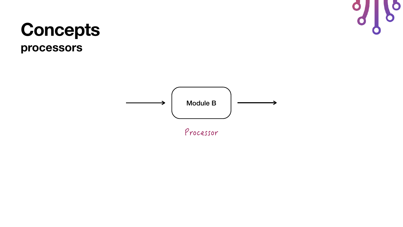### **Concepts processors**



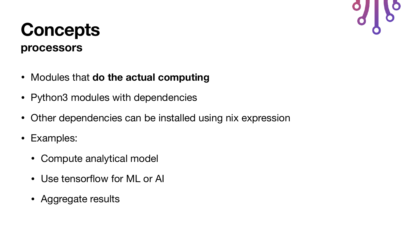### **Concepts processors**

- Modules that **do the actual computing**
- Python3 modules with dependencies
- Other dependencies can be installed using nix expression
- Examples:
	- Compute analytical model
	- Use tensorflow for ML or AI
	- Aggregate results

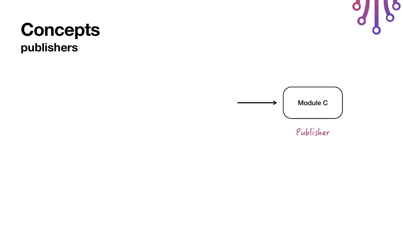#### **Concepts publishers**



Publisher



 $\bullet$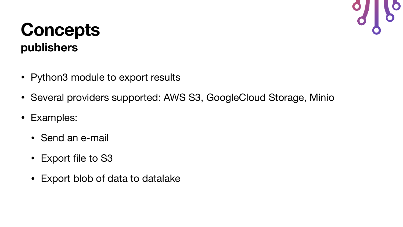### **Concepts publishers**

- Python3 module to export results
- Several providers supported: AWS S3, GoogleCloud Storage, Minio
- Examples:
	- Send an e-mail
	- Export file to S3
	- Export blob of data to datalake

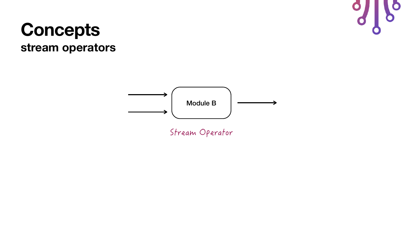



Stream Operator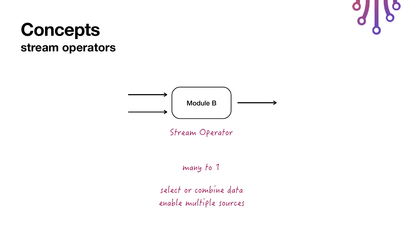



Stream Operator

many to 1

select or combine data enable multiple sources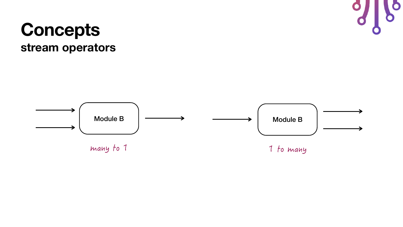



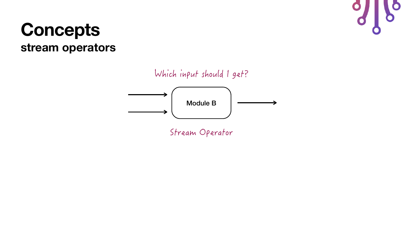Stream Operator



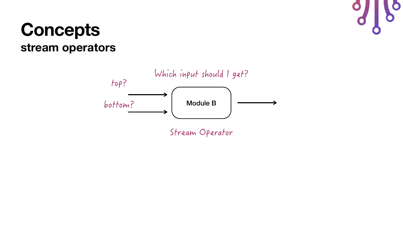

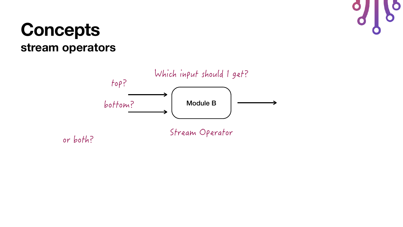

or both?

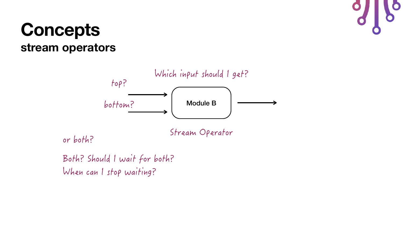Stream Operator



Both? Should I wait for both? When can I stop waiting?



or both?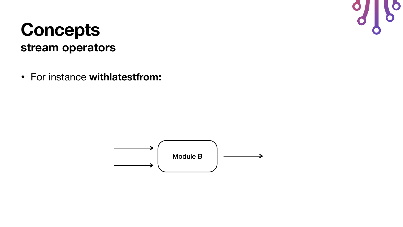• For instance **withlatestfrom:**



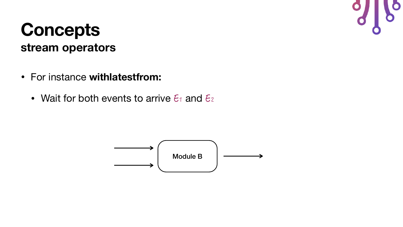- For instance **withlatestfrom:** 
	- Wait for both events to arrive  $\epsilon_1$  and  $\epsilon_2$



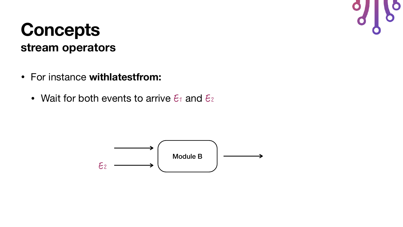- For instance **withlatestfrom:** 
	- Wait for both events to arrive  $\epsilon_1$  and  $\epsilon_2$



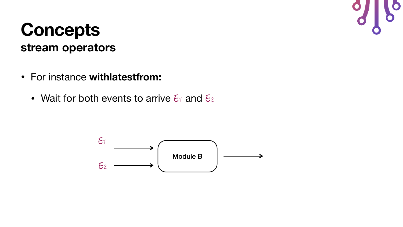- For instance **withlatestfrom:** 
	- Wait for both events to arrive  $\epsilon_1$  and  $\epsilon_2$



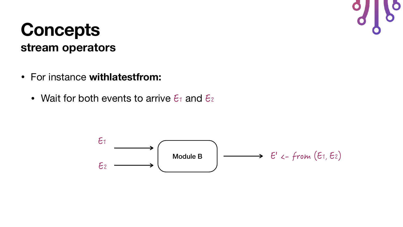- For instance **withlatestfrom:** 
	- Wait for both events to arrive  $\epsilon_1$  and  $\epsilon_2$



![](_page_47_Picture_4.jpeg)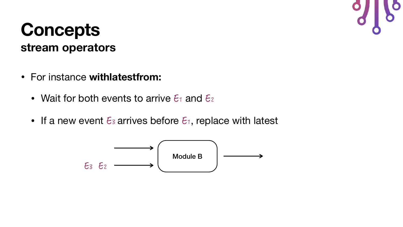- For instance **withlatestfrom:** 
	- Wait for both events to arrive  $\epsilon_1$  and  $\epsilon_2$
	- If a new event  $\epsilon_3$  arrives before  $\epsilon_1$ , replace with latest

![](_page_48_Figure_4.jpeg)

![](_page_48_Picture_5.jpeg)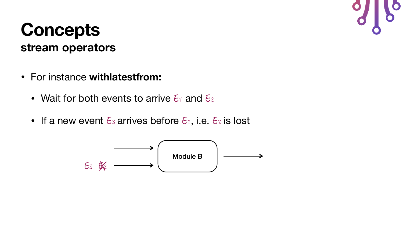- For instance **withlatestfrom:** 
	- Wait for both events to arrive  $\epsilon_1$  and  $\epsilon_2$
	- If a new event  $\epsilon_3$  arrives before  $\epsilon_1$ , i.e.  $\epsilon_2$  is lost

![](_page_49_Figure_4.jpeg)

![](_page_49_Picture_5.jpeg)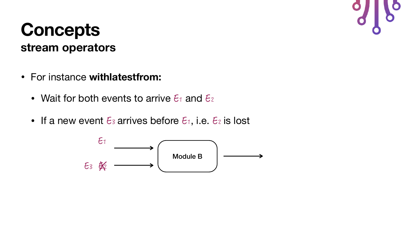- For instance **withlatestfrom:** 
	- Wait for both events to arrive  $\epsilon_1$  and  $\epsilon_2$
	- If a new event  $\epsilon_3$  arrives before  $\epsilon_1$ , i.e.  $\epsilon_2$  is lost

![](_page_50_Figure_4.jpeg)

![](_page_50_Picture_5.jpeg)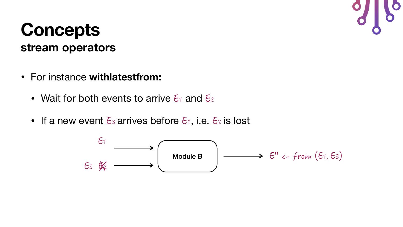- For instance **withlatestfrom:** 
	- Wait for both events to arrive  $\epsilon_1$  and  $\epsilon_2$
	- If a new event  $\epsilon_3$  arrives before  $\epsilon_1$ , i.e.  $\epsilon_2$  is lost

![](_page_51_Figure_4.jpeg)

![](_page_51_Figure_5.jpeg)

![](_page_51_Figure_6.jpeg)